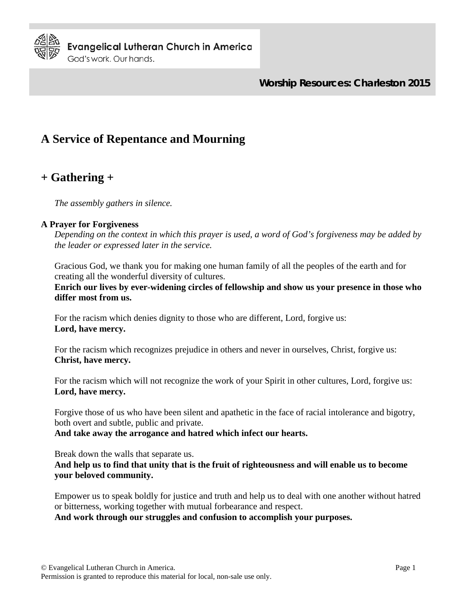

# **A Service of Repentance and Mourning**

# **+ Gathering +**

*The assembly gathers in silence.*

# **A Prayer for Forgiveness**

*Depending on the context in which this prayer is used, a word of God's forgiveness may be added by the leader or expressed later in the service.* 

Gracious God, we thank you for making one human family of all the peoples of the earth and for creating all the wonderful diversity of cultures.

**Enrich our lives by ever-widening circles of fellowship and show us your presence in those who differ most from us.**

For the racism which denies dignity to those who are different, Lord, forgive us: **Lord, have mercy.**

For the racism which recognizes prejudice in others and never in ourselves, Christ, forgive us: **Christ, have mercy.**

For the racism which will not recognize the work of your Spirit in other cultures, Lord, forgive us: **Lord, have mercy.**

Forgive those of us who have been silent and apathetic in the face of racial intolerance and bigotry, both overt and subtle, public and private.

**And take away the arrogance and hatred which infect our hearts.**

Break down the walls that separate us.

**And help us to find that unity that is the fruit of righteousness and will enable us to become your beloved community.**

Empower us to speak boldly for justice and truth and help us to deal with one another without hatred or bitterness, working together with mutual forbearance and respect.

**And work through our struggles and confusion to accomplish your purposes.**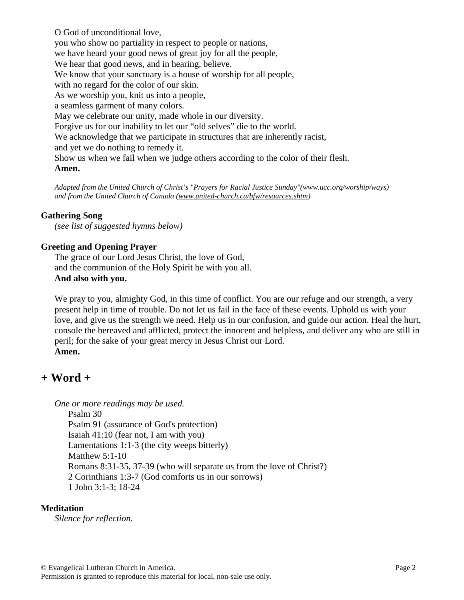O God of unconditional love, you who show no partiality in respect to people or nations, we have heard your good news of great joy for all the people, We hear that good news, and in hearing, believe. We know that your sanctuary is a house of worship for all people, with no regard for the color of our skin. As we worship you, knit us into a people, a seamless garment of many colors. May we celebrate our unity, made whole in our diversity. Forgive us for our inability to let our "old selves" die to the world. We acknowledge that we participate in structures that are inherently racist, and yet we do nothing to remedy it. Show us when we fail when we judge others according to the color of their flesh. **Amen.**

*Adapted from the United Church of Christ's "Prayers for Racial Justice Sunday"[\(www.ucc.org/worship/ways\)](http://www.ucc.org/worship/ways) and from the United Church of Canada [\(www.united-church.ca/bfw/resources.shtm\)](http://www.united-church.ca/bfw/resources.shtm)*

#### **Gathering Song**

*(see list of suggested hymns below)*

## **Greeting and Opening Prayer**

The grace of our Lord Jesus Christ, the love of God, and the communion of the Holy Spirit be with you all. **And also with you.**

We pray to you, almighty God, in this time of conflict. You are our refuge and our strength, a very present help in time of trouble. Do not let us fail in the face of these events. Uphold us with your love, and give us the strength we need. Help us in our confusion, and guide our action. Heal the hurt, console the bereaved and afflicted, protect the innocent and helpless, and deliver any who are still in peril; for the sake of your great mercy in Jesus Christ our Lord. **Amen.**

# **+ Word +**

*One or more readings may be used.* Psalm 30

Psalm 91 (assurance of God's protection) Isaiah 41:10 (fear not, I am with you) Lamentations 1:1-3 (the city weeps bitterly) Matthew 5:1-10 Romans 8:31-35, 37-39 (who will separate us from the love of Christ?) 2 Corinthians 1:3-7 (God comforts us in our sorrows) 1 John 3:1-3; 18-24

## **Meditation**

*Silence for reflection.*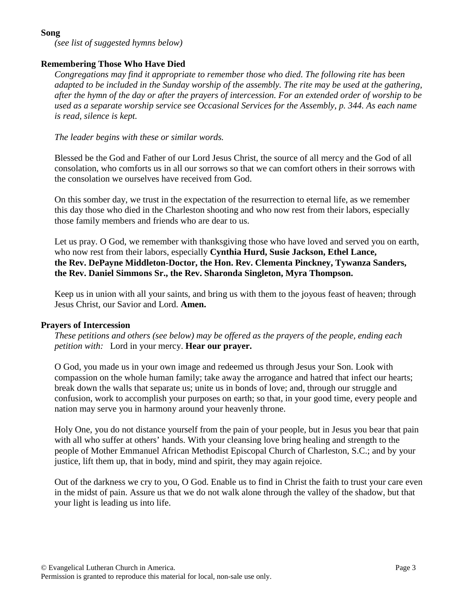# **Song**

*(see list of suggested hymns below)*

# **Remembering Those Who Have Died**

*Congregations may find it appropriate to remember those who died. The following rite has been adapted to be included in the Sunday worship of the assembly. The rite may be used at the gathering, after the hymn of the day or after the prayers of intercession. For an extended order of worship to be used as a separate worship service see Occasional Services for the Assembly, p. 344. As each name is read, silence is kept.*

*The leader begins with these or similar words.* 

Blessed be the God and Father of our Lord Jesus Christ, the source of all mercy and the God of all consolation, who comforts us in all our sorrows so that we can comfort others in their sorrows with the consolation we ourselves have received from God.

On this somber day, we trust in the expectation of the resurrection to eternal life, as we remember this day those who died in the Charleston shooting and who now rest from their labors, especially those family members and friends who are dear to us.

Let us pray. O God, we remember with thanksgiving those who have loved and served you on earth, who now rest from their labors, especially **Cynthia Hurd, Susie Jackson, Ethel Lance, the Rev. DePayne Middleton-Doctor, the Hon. Rev. Clementa Pinckney, Tywanza Sanders, the Rev. Daniel Simmons Sr., the Rev. Sharonda Singleton, Myra Thompson.**

Keep us in union with all your saints, and bring us with them to the joyous feast of heaven; through Jesus Christ, our Savior and Lord. **Amen.**

#### **Prayers of Intercession**

*These petitions and others (see below) may be offered as the prayers of the people, ending each petition with:* Lord in your mercy. **Hear our prayer.**

O God, you made us in your own image and redeemed us through Jesus your Son. Look with compassion on the whole human family; take away the arrogance and hatred that infect our hearts; break down the walls that separate us; unite us in bonds of love; and, through our struggle and confusion, work to accomplish your purposes on earth; so that, in your good time, every people and nation may serve you in harmony around your heavenly throne.

Holy One, you do not distance yourself from the pain of your people, but in Jesus you bear that pain with all who suffer at others' hands. With your cleansing love bring healing and strength to the people of Mother Emmanuel African Methodist Episcopal Church of Charleston, S.C.; and by your justice, lift them up, that in body, mind and spirit, they may again rejoice.

Out of the darkness we cry to you, O God. Enable us to find in Christ the faith to trust your care even in the midst of pain. Assure us that we do not walk alone through the valley of the shadow, but that your light is leading us into life.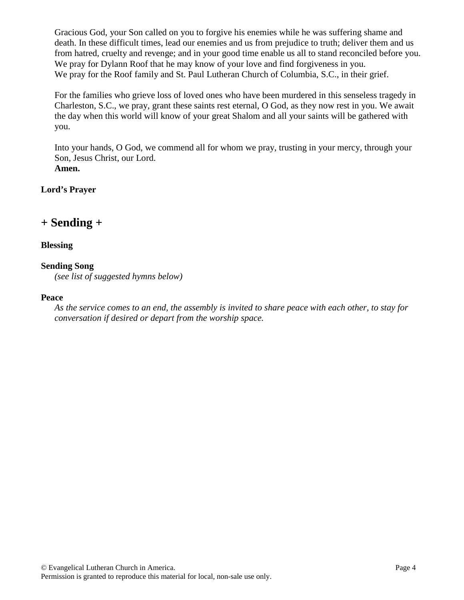Gracious God, your Son called on you to forgive his enemies while he was suffering shame and death. In these difficult times, lead our enemies and us from prejudice to truth; deliver them and us from hatred, cruelty and revenge; and in your good time enable us all to stand reconciled before you. We pray for Dylann Roof that he may know of your love and find forgiveness in you. We pray for the Roof family and St. Paul Lutheran Church of Columbia, S.C., in their grief.

For the families who grieve loss of loved ones who have been murdered in this senseless tragedy in Charleston, S.C., we pray, grant these saints rest eternal, O God, as they now rest in you. We await the day when this world will know of your great Shalom and all your saints will be gathered with you.

Into your hands, O God, we commend all for whom we pray, trusting in your mercy, through your Son, Jesus Christ, our Lord. **Amen.**

**Lord's Prayer** 

# **+ Sending +**

# **Blessing**

# **Sending Song**

*(see list of suggested hymns below)*

# **Peace**

*As the service comes to an end, the assembly is invited to share peace with each other, to stay for conversation if desired or depart from the worship space.*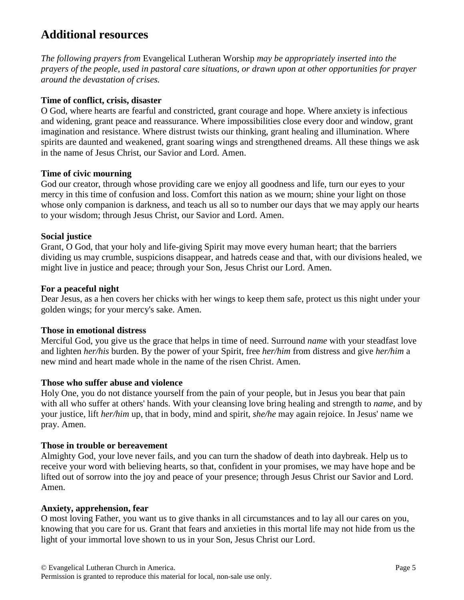# **Additional resources**

*The following prayers from* Evangelical Lutheran Worship *may be appropriately inserted into the prayers of the people, used in pastoral care situations, or drawn upon at other opportunities for prayer around the devastation of crises.*

# **Time of conflict, crisis, disaster**

O God, where hearts are fearful and constricted, grant courage and hope. Where anxiety is infectious and widening, grant peace and reassurance. Where impossibilities close every door and window, grant imagination and resistance. Where distrust twists our thinking, grant healing and illumination. Where spirits are daunted and weakened, grant soaring wings and strengthened dreams. All these things we ask in the name of Jesus Christ, our Savior and Lord. Amen.

## **Time of civic mourning**

God our creator, through whose providing care we enjoy all goodness and life, turn our eyes to your mercy in this time of confusion and loss. Comfort this nation as we mourn; shine your light on those whose only companion is darkness, and teach us all so to number our days that we may apply our hearts to your wisdom; through Jesus Christ, our Savior and Lord. Amen.

# **Social justice**

Grant, O God, that your holy and life-giving Spirit may move every human heart; that the barriers dividing us may crumble, suspicions disappear, and hatreds cease and that, with our divisions healed, we might live in justice and peace; through your Son, Jesus Christ our Lord. Amen.

# **For a peaceful night**

Dear Jesus, as a hen covers her chicks with her wings to keep them safe, protect us this night under your golden wings; for your mercy's sake. Amen.

## **Those in emotional distress**

Merciful God, you give us the grace that helps in time of need. Surround *name* with your steadfast love and lighten *her/his* burden. By the power of your Spirit, free *her/him* from distress and give *her/him* a new mind and heart made whole in the name of the risen Christ. Amen.

## **Those who suffer abuse and violence**

Holy One, you do not distance yourself from the pain of your people, but in Jesus you bear that pain with all who suffer at others' hands. With your cleansing love bring healing and strength to *name,* and by your justice, lift *her/him* up, that in body, mind and spirit, *she/he* may again rejoice. In Jesus' name we pray. Amen.

## **Those in trouble or bereavement**

Almighty God, your love never fails, and you can turn the shadow of death into daybreak. Help us to receive your word with believing hearts, so that, confident in your promises, we may have hope and be lifted out of sorrow into the joy and peace of your presence; through Jesus Christ our Savior and Lord. Amen.

## **Anxiety, apprehension, fear**

O most loving Father, you want us to give thanks in all circumstances and to lay all our cares on you, knowing that you care for us. Grant that fears and anxieties in this mortal life may not hide from us the light of your immortal love shown to us in your Son, Jesus Christ our Lord.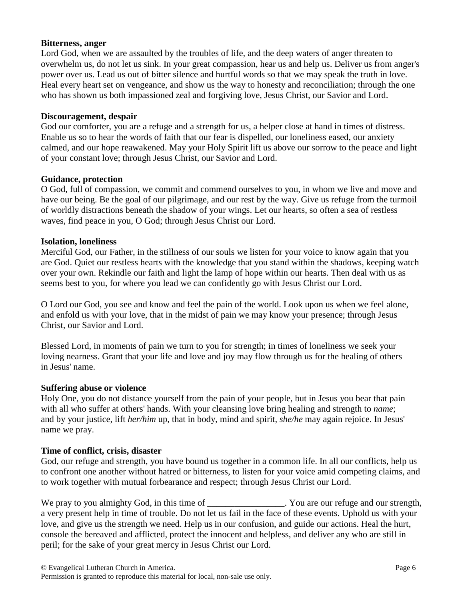#### **Bitterness, anger**

Lord God, when we are assaulted by the troubles of life, and the deep waters of anger threaten to overwhelm us, do not let us sink. In your great compassion, hear us and help us. Deliver us from anger's power over us. Lead us out of bitter silence and hurtful words so that we may speak the truth in love. Heal every heart set on vengeance, and show us the way to honesty and reconciliation; through the one who has shown us both impassioned zeal and forgiving love, Jesus Christ, our Savior and Lord.

#### **Discouragement, despair**

God our comforter, you are a refuge and a strength for us, a helper close at hand in times of distress. Enable us so to hear the words of faith that our fear is dispelled, our loneliness eased, our anxiety calmed, and our hope reawakened. May your Holy Spirit lift us above our sorrow to the peace and light of your constant love; through Jesus Christ, our Savior and Lord.

#### **Guidance, protection**

O God, full of compassion, we commit and commend ourselves to you, in whom we live and move and have our being. Be the goal of our pilgrimage, and our rest by the way. Give us refuge from the turmoil of worldly distractions beneath the shadow of your wings. Let our hearts, so often a sea of restless waves, find peace in you, O God; through Jesus Christ our Lord.

#### **Isolation, loneliness**

Merciful God, our Father, in the stillness of our souls we listen for your voice to know again that you are God. Quiet our restless hearts with the knowledge that you stand within the shadows, keeping watch over your own. Rekindle our faith and light the lamp of hope within our hearts. Then deal with us as seems best to you, for where you lead we can confidently go with Jesus Christ our Lord.

O Lord our God, you see and know and feel the pain of the world. Look upon us when we feel alone, and enfold us with your love, that in the midst of pain we may know your presence; through Jesus Christ, our Savior and Lord.

Blessed Lord, in moments of pain we turn to you for strength; in times of loneliness we seek your loving nearness. Grant that your life and love and joy may flow through us for the healing of others in Jesus' name.

#### **Suffering abuse or violence**

Holy One, you do not distance yourself from the pain of your people, but in Jesus you bear that pain with all who suffer at others' hands. With your cleansing love bring healing and strength to *name*; and by your justice, lift *her/him* up, that in body, mind and spirit, *she/he* may again rejoice. In Jesus' name we pray.

#### **Time of conflict, crisis, disaster**

God, our refuge and strength, you have bound us together in a common life. In all our conflicts, help us to confront one another without hatred or bitterness, to listen for your voice amid competing claims, and to work together with mutual forbearance and respect; through Jesus Christ our Lord.

We pray to you almighty God, in this time of \_\_\_\_\_\_\_\_\_\_\_\_\_\_. You are our refuge and our strength, a very present help in time of trouble. Do not let us fail in the face of these events. Uphold us with your love, and give us the strength we need. Help us in our confusion, and guide our actions. Heal the hurt, console the bereaved and afflicted, protect the innocent and helpless, and deliver any who are still in peril; for the sake of your great mercy in Jesus Christ our Lord.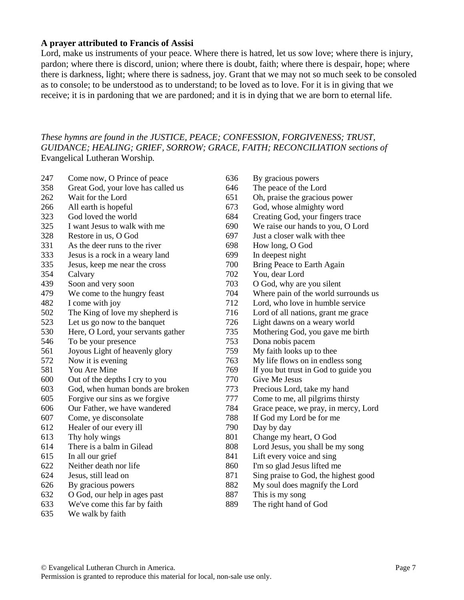#### **A prayer attributed to Francis of Assisi**

Lord, make us instruments of your peace. Where there is hatred, let us sow love; where there is injury, pardon; where there is discord, union; where there is doubt, faith; where there is despair, hope; where there is darkness, light; where there is sadness, joy. Grant that we may not so much seek to be consoled as to console; to be understood as to understand; to be loved as to love. For it is in giving that we receive; it is in pardoning that we are pardoned; and it is in dying that we are born to eternal life.

# *These hymns are found in the JUSTICE, PEACE; CONFESSION, FORGIVENESS; TRUST, GUIDANCE; HEALING; GRIEF, SORROW; GRACE, FAITH; RECONCILIATION sections of*  Evangelical Lutheran Worship*.*

| 247 | Come now, O Prince of peace        |
|-----|------------------------------------|
| 358 | Great God, your love has called us |
| 262 | Wait for the Lord                  |
| 266 | All earth is hopeful               |
| 323 | God loved the world                |
| 325 | I want Jesus to walk with me       |
| 328 | Restore in us, O God               |
| 331 | As the deer runs to the river      |
| 333 | Jesus is a rock in a weary land    |
| 335 | Jesus, keep me near the cross      |
| 354 | Calvary                            |
| 439 | Soon and very soon                 |
| 479 | We come to the hungry feast        |
| 482 | I come with joy                    |
| 502 | The King of love my shepherd is    |
| 523 | Let us go now to the banquet       |
| 530 | Here, O Lord, your servants gather |
| 546 | To be your presence                |
| 561 | Joyous Light of heavenly glory     |
| 572 | Now it is evening                  |
| 581 | You Are Mine                       |
| 600 | Out of the depths I cry to you     |
| 603 | God, when human bonds are broken   |
| 605 | Forgive our sins as we forgive     |
| 606 | Our Father, we have wandered       |
| 607 | Come, ye disconsolate              |
| 612 | Healer of our every ill            |
| 613 | Thy holy wings                     |
| 614 | There is a balm in Gilead          |
| 615 | In all our grief                   |
| 622 | Neither death nor life             |
| 624 | Jesus, still lead on               |
| 626 | By gracious powers                 |
| 632 | O God, our help in ages past       |
| 633 | We've come this far by faith       |

We walk by faith

- By gracious powers
- The peace of the Lord
- Oh, praise the gracious power
- God, whose almighty word
- Creating God, your fingers trace
- We raise our hands to you, O Lord
- Just a closer walk with thee
- How long, O God
- In deepest night
- Bring Peace to Earth Again
- You, dear Lord
- O God, why are you silent
- Where pain of the world surrounds us
- Lord, who love in humble service
- Lord of all nations, grant me grace
- Light dawns on a weary world
- Mothering God, you gave me birth
- Dona nobis pacem
- My faith looks up to thee
- My life flows on in endless song
- If you but trust in God to guide you
- Give Me Jesus
- Precious Lord, take my hand
- Come to me, all pilgrims thirsty
- Grace peace, we pray, in mercy, Lord
- If God my Lord be for me
- Day by day
- Change my heart, O God
- Lord Jesus, you shall be my song
- Lift every voice and sing
- I'm so glad Jesus lifted me
- Sing praise to God, the highest good
- My soul does magnify the Lord
- This is my song
- The right hand of God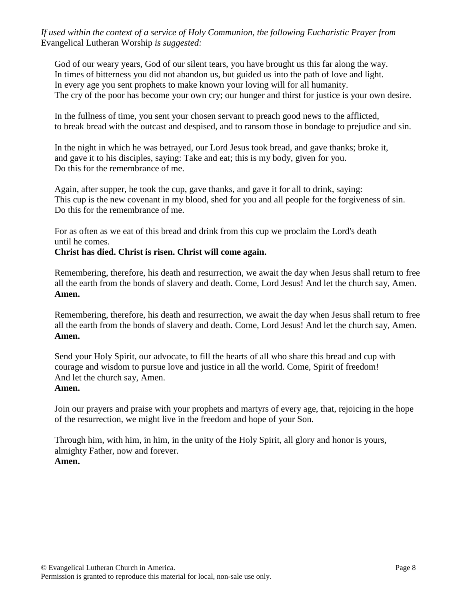*If used within the context of a service of Holy Communion, the following Eucharistic Prayer from*  Evangelical Lutheran Worship *is suggested:*

God of our weary years, God of our silent tears, you have brought us this far along the way. In times of bitterness you did not abandon us, but guided us into the path of love and light. In every age you sent prophets to make known your loving will for all humanity. The cry of the poor has become your own cry; our hunger and thirst for justice is your own desire.

In the fullness of time, you sent your chosen servant to preach good news to the afflicted, to break bread with the outcast and despised, and to ransom those in bondage to prejudice and sin.

In the night in which he was betrayed, our Lord Jesus took bread, and gave thanks; broke it, and gave it to his disciples, saying: Take and eat; this is my body, given for you. Do this for the remembrance of me.

Again, after supper, he took the cup, gave thanks, and gave it for all to drink, saying: This cup is the new covenant in my blood, shed for you and all people for the forgiveness of sin. Do this for the remembrance of me.

For as often as we eat of this bread and drink from this cup we proclaim the Lord's death until he comes.

# **Christ has died. Christ is risen. Christ will come again.**

Remembering, therefore, his death and resurrection, we await the day when Jesus shall return to free all the earth from the bonds of slavery and death. Come, Lord Jesus! And let the church say, Amen. **Amen.**

Remembering, therefore, his death and resurrection, we await the day when Jesus shall return to free all the earth from the bonds of slavery and death. Come, Lord Jesus! And let the church say, Amen. **Amen.**

Send your Holy Spirit, our advocate, to fill the hearts of all who share this bread and cup with courage and wisdom to pursue love and justice in all the world. Come, Spirit of freedom! And let the church say, Amen.

# **Amen.**

Join our prayers and praise with your prophets and martyrs of every age, that, rejoicing in the hope of the resurrection, we might live in the freedom and hope of your Son.

Through him, with him, in him, in the unity of the Holy Spirit, all glory and honor is yours, almighty Father, now and forever. **Amen.**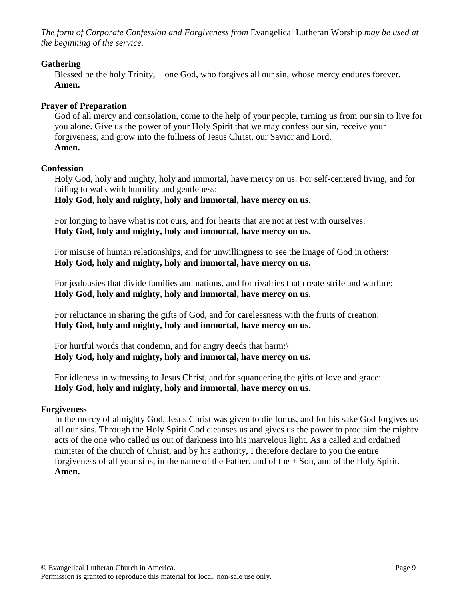*The form of Corporate Confession and Forgiveness from* Evangelical Lutheran Worship *may be used at the beginning of the service.* 

# **Gathering**

Blessed be the holy Trinity, + one God, who forgives all our sin, whose mercy endures forever. **Amen.**

## **Prayer of Preparation**

God of all mercy and consolation, come to the help of your people, turning us from our sin to live for you alone. Give us the power of your Holy Spirit that we may confess our sin, receive your forgiveness, and grow into the fullness of Jesus Christ, our Savior and Lord. **Amen.**

# **Confession**

Holy God, holy and mighty, holy and immortal, have mercy on us. For self-centered living, and for failing to walk with humility and gentleness:

**Holy God, holy and mighty, holy and immortal, have mercy on us.**

For longing to have what is not ours, and for hearts that are not at rest with ourselves: **Holy God, holy and mighty, holy and immortal, have mercy on us.**

For misuse of human relationships, and for unwillingness to see the image of God in others: **Holy God, holy and mighty, holy and immortal, have mercy on us.**

For jealousies that divide families and nations, and for rivalries that create strife and warfare: **Holy God, holy and mighty, holy and immortal, have mercy on us.**

For reluctance in sharing the gifts of God, and for carelessness with the fruits of creation: **Holy God, holy and mighty, holy and immortal, have mercy on us.**

For hurtful words that condemn, and for angry deeds that harm:\ **Holy God, holy and mighty, holy and immortal, have mercy on us.**

For idleness in witnessing to Jesus Christ, and for squandering the gifts of love and grace: **Holy God, holy and mighty, holy and immortal, have mercy on us.**

## **Forgiveness**

In the mercy of almighty God, Jesus Christ was given to die for us, and for his sake God forgives us all our sins. Through the Holy Spirit God cleanses us and gives us the power to proclaim the mighty acts of the one who called us out of darkness into his marvelous light. As a called and ordained minister of the church of Christ, and by his authority, I therefore declare to you the entire forgiveness of all your sins, in the name of the Father, and of the + Son, and of the Holy Spirit. **Amen.**